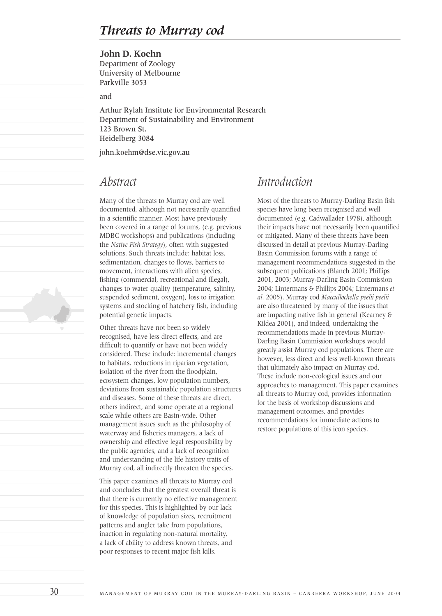### **John D. Koehn**

Department of Zoology University of Melbourne Parkville 3053

and

Arthur Rylah Institute for Environmental Research Department of Sustainability and Environment 123 Brown St. Heidelberg 3084

john.koehm@dse.vic.gov.au

### *Abstract*

Many of the threats to Murray cod are well documented, although not necessarily quantified in a scientific manner. Most have previously been covered in a range of forums, (e.g. previous MDBC workshops) and publications (including the *Native Fish Strategy*), often with suggested solutions. Such threats include: habitat loss, sedimentation, changes to flows, barriers to movement, interactions with alien species, fishing (commercial, recreational and illegal), changes to water quality (temperature, salinity, suspended sediment, oxygen), loss to irrigation systems and stocking of hatchery fish, including potential genetic impacts.

Other threats have not been so widely recognised, have less direct effects, and are difficult to quantify or have not been widely considered. These include: incremental changes to habitats, reductions in riparian vegetation, isolation of the river from the floodplain, ecosystem changes, low population numbers, deviations from sustainable population structures and diseases. Some of these threats are direct, others indirect, and some operate at a regional scale while others are Basin-wide. Other management issues such as the philosophy of waterway and fisheries managers, a lack of ownership and effective legal responsibility by the public agencies, and a lack of recognition and understanding of the life history traits of Murray cod, all indirectly threaten the species.

This paper examines all threats to Murray cod and concludes that the greatest overall threat is that there is currently no effective management for this species. This is highlighted by our lack of knowledge of population sizes, recruitment patterns and angler take from populations, inaction in regulating non-natural mortality, a lack of ability to address known threats, and poor responses to recent major fish kills.

# *Introduction*

Most of the threats to Murray-Darling Basin fish species have long been recognised and well documented (e.g. Cadwallader 1978), although their impacts have not necessarily been quantified or mitigated. Many of these threats have been discussed in detail at previous Murray-Darling Basin Commission forums with a range of management recommendations suggested in the subsequent publications (Blanch 2001; Phillips 2001, 2003; Murray-Darling Basin Commission 2004; Lintermans & Phillips 2004; Lintermans *et al*. 2005). Murray cod *Maccullochella peelii peelii*  are also threatened by many of the issues that are impacting native fish in general (Kearney & Kildea 2001), and indeed, undertaking the recommendations made in previous Murray-Darling Basin Commission workshops would greatly assist Murray cod populations. There are however, less direct and less well-known threats that ultimately also impact on Murray cod. These include non-ecological issues and our approaches to management. This paper examines all threats to Murray cod, provides information for the basis of workshop discussions and management outcomes, and provides recommendations for immediate actions to restore populations of this icon species.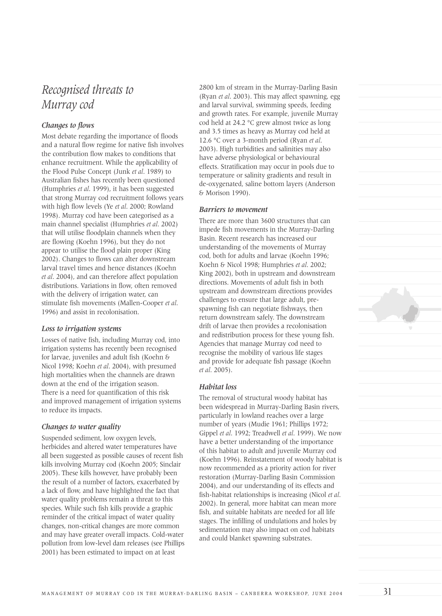# *Recognised threats to Murray cod*

### *Changes to flows*

Most debate regarding the importance of floods and a natural flow regime for native fish involves the contribution flow makes to conditions that enhance recruitment. While the applicability of the Flood Pulse Concept (Junk *et al*. 1989) to Australian fishes has recently been questioned (Humphries *et al*. 1999), it has been suggested that strong Murray cod recruitment follows years with high flow levels (Ye *et al*. 2000; Rowland 1998). Murray cod have been categorised as a main channel specialist (Humphries *et al*. 2002) that will utilise floodplain channels when they are flowing (Koehn 1996), but they do not appear to utilise the flood plain proper (King 2002). Changes to flows can alter downstream larval travel times and hence distances (Koehn *et al*. 2004), and can therefore affect population distributions. Variations in flow, often removed with the delivery of irrigation water, can stimulate fish movements (Mallen-Cooper *et al*. 1996) and assist in recolonisation.

#### *Loss to irrigation systems*

Losses of native fish, including Murray cod, into irrigation systems has recently been recognised for larvae, juveniles and adult fish (Koehn & Nicol 1998; Koehn *et al*. 2004), with presumed high mortalities when the channels are drawn down at the end of the irrigation season. There is a need for quantification of this risk and improved management of irrigation systems to reduce its impacts.

#### *Changes to water quality*

Suspended sediment, low oxygen levels, herbicides and altered water temperatures have all been suggested as possible causes of recent fish kills involving Murray cod (Koehn 2005; Sinclair 2005). These kills however, have probably been the result of a number of factors, exacerbated by a lack of flow, and have highlighted the fact that water quality problems remain a threat to this species. While such fish kills provide a graphic reminder of the critical impact of water quality changes, non-critical changes are more common and may have greater overall impacts. Cold-water pollution from low-level dam releases (see Phillips 2001) has been estimated to impact on at least

2800 km of stream in the Murray-Darling Basin (Ryan *et al*. 2003). This may affect spawning, egg and larval survival, swimming speeds, feeding and growth rates. For example, juvenile Murray cod held at 24.2 °C grew almost twice as long and 3.5 times as heavy as Murray cod held at 12.6 °C over a 3-month period (Ryan *et al*. 2003). High turbidities and salinities may also have adverse physiological or behavioural effects. Stratification may occur in pools due to temperature or salinity gradients and result in de-oxygenated, saline bottom layers (Anderson & Morison 1990).

#### *Barriers to movement*

There are more than 3600 structures that can impede fish movements in the Murray-Darling Basin. Recent research has increased our understanding of the movements of Murray cod, both for adults and larvae (Koehn 1996; Koehn & Nicol 1998; Humphries *et al*. 2002; King 2002), both in upstream and downstream directions. Movements of adult fish in both upstream and downstream directions provides challenges to ensure that large adult, prespawning fish can negotiate fishways, then return downstream safely. The downstream drift of larvae then provides a recolonisation and redistribution process for these young fish. Agencies that manage Murray cod need to recognise the mobility of various life stages and provide for adequate fish passage (Koehn *et al*. 2005).

#### *Habitat loss*

The removal of structural woody habitat has been widespread in Murray-Darling Basin rivers, particularly in lowland reaches over a large number of years (Mudie 1961; Phillips 1972; Gippel *et al*. 1992; Treadwell *et al*. 1999). We now have a better understanding of the importance of this habitat to adult and juvenile Murray cod (Koehn 1996). Reinstatement of woody habitat is now recommended as a priority action for river restoration (Murray-Darling Basin Commission 2004), and our understanding of its effects and fish-habitat relationships is increasing (Nicol *et al*. 2002). In general, more habitat can mean more fish, and suitable habitats are needed for all life stages. The infilling of undulations and holes by sedimentation may also impact on cod habitats and could blanket spawning substrates.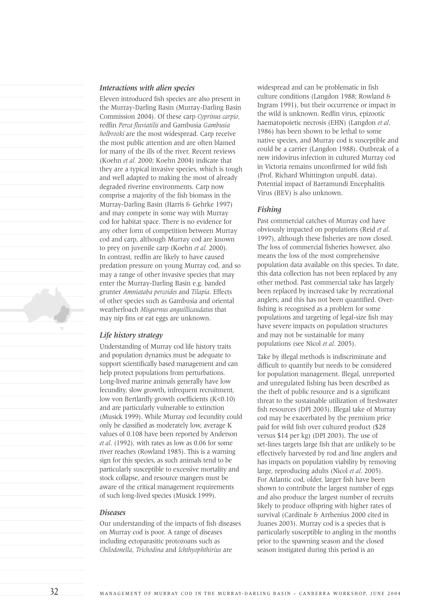

#### *Interactions with alien species*

Eleven introduced fish species are also present in the Murray-Darling Basin (Murray-Darling Basin Commission 2004). Of these carp *Cyprinus carpio,* redfin *Perca fluviatilis* and Gambusia *Gambusia holbrooki* are the most widespread. Carp receive the most public attention and are often blamed for many of the ills of the river. Recent reviews (Koehn *et al.* 2000; Koehn 2004) indicate that they are a typical invasive species, which is tough and well adapted to making the most of already degraded riverine environments. Carp now comprise a majority of the fish biomass in the Murray-Darling Basin (Harris & Gehrke 1997) and may compete in some way with Murray cod for habitat space. There is no evidence for any other form of competition between Murray cod and carp, although Murray cod are known to prey on juvenile carp (Koehn *et al.* 2000). In contrast, redfin are likely to have caused predation pressure on young Murray cod, and so may a range of other invasive species that may enter the Murray-Darling Basin e.g. banded grunter *Amniataba percoides* and *Tilapia*. Effects of other species such as Gambusia and oriental weatherloach *Misgurnus anguillicaudatus* that may nip fins or eat eggs are unknown.

#### *Life history strategy*

Understanding of Murray cod life history traits and population dynamics must be adequate to support scientifically based management and can help protect populations from perturbations. Long-lived marine animals generally have low fecundity, slow growth, infrequent recruitment, low von Bertlanffy growth coefficients (K<0.10) and are particularly vulnerable to extinction (Musick 1999). While Murray cod fecundity could only be classified as moderately low, average K values of 0.108 have been reported by Anderson *et al*. (1992), with rates as low as 0.06 for some river reaches (Rowland 1985). This is a warning sign for this species, as such animals tend to be particularly susceptible to excessive mortality and stock collapse, and resource mangers must be aware of the critical management requirements of such long-lived species (Musick 1999).

#### *Diseases*

Our understanding of the impacts of fish diseases on Murray cod is poor. A range of diseases including ectoparasitic protozoans such as *Chilodonella*, *Trichodina* and *Ichthyophthirius* are

widespread and can be problematic in fish culture conditions (Langdon 1988; Rowland & Ingram 1991), but their occurrence or impact in the wild is unknown. Redfin virus, epizootic haematopoietic necrosis (EHN) (Langdon *et al*. 1986) has been shown to be lethal to some native species, and Murray cod is susceptible and could be a carrier (Langdon 1988). Outbreak of a new iridovirus infection in cultured Murray cod in Victoria remains unconfirmed for wild fish (Prof. Richard Whittington unpubl. data). Potential impact of Barramundi Encephalitis Virus (BEV) is also unknown.

#### *Fishing*

Past commercial catches of Murray cod have obviously impacted on populations (Reid *et al*. 1997), although these fisheries are now closed. The loss of commercial fisheries however, also means the loss of the most comprehensive population data available on this species. To date, this data collection has not been replaced by any other method. Past commercial take has largely been replaced by increased take by recreational anglers, and this has not been quantified. Overfishing is recognised as a problem for some populations and targeting of legal-size fish may have severe impacts on population structures and may not be sustainable for many populations (see Nicol *et al*. 2005).

Take by illegal methods is indiscriminate and difficult to quantify but needs to be considered for population management. Illegal, unreported and unregulated fishing has been described as the theft of public resource and is a significant threat to the sustainable utilization of freshwater fish resources (DPI 2003). Illegal take of Murray cod may be exacerbated by the premium price paid for wild fish over cultured product (\$28 versus \$14 per kg) (DPI 2003). The use of set-lines targets large fish that are unlikely to be effectively harvested by rod and line anglers and has impacts on population viability by removing large, reproducing adults (Nicol *et al*. 2005). For Atlantic cod, older, larger fish have been shown to contribute the largest number of eggs and also produce the largest number of recruits likely to produce offspring with higher rates of survival (Cardinale & Arrhenius 2000 cited in Juanes 2003). Murray cod is a species that is particularly susceptible to angling in the months prior to the spawning season and the closed season instigated during this period is an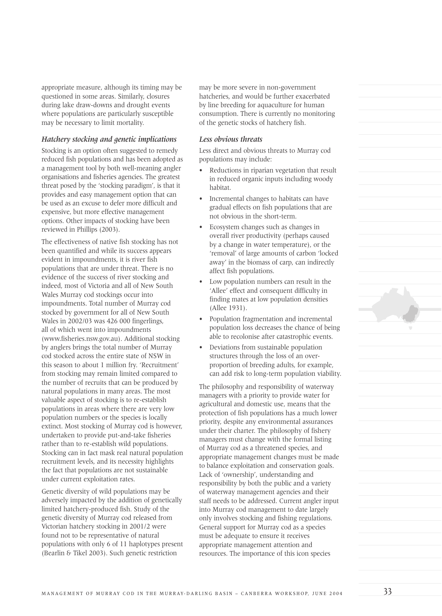appropriate measure, although its timing may be questioned in some areas. Similarly, closures during lake draw-downs and drought events where populations are particularly susceptible may be necessary to limit mortality.

#### *Hatchery stocking and genetic implications*

Stocking is an option often suggested to remedy reduced fish populations and has been adopted as a management tool by both well-meaning angler organisations and fisheries agencies. The greatest threat posed by the 'stocking paradigm', is that it provides and easy management option that can be used as an excuse to defer more difficult and expensive, but more effective management options. Other impacts of stocking have been reviewed in Phillips (2003).

The effectiveness of native fish stocking has not been quantified and while its success appears evident in impoundments, it is river fish populations that are under threat. There is no evidence of the success of river stocking and indeed, most of Victoria and all of New South Wales Murray cod stockings occur into impoundments. Total number of Murray cod stocked by government for all of New South Wales in 2002/03 was 426 000 fingerlings, all of which went into impoundments (www.fisheries.nsw.gov.au). Additional stocking by anglers brings the total number of Murray cod stocked across the entire state of NSW in this season to about 1 million fry. 'Recruitment' from stocking may remain limited compared to the number of recruits that can be produced by natural populations in many areas. The most valuable aspect of stocking is to re-establish populations in areas where there are very low population numbers or the species is locally extinct. Most stocking of Murray cod is however, undertaken to provide put-and-take fisheries rather than to re-establish wild populations. Stocking can in fact mask real natural population recruitment levels, and its necessity highlights the fact that populations are not sustainable under current exploitation rates.

Genetic diversity of wild populations may be adversely impacted by the addition of genetically limited hatchery-produced fish. Study of the genetic diversity of Murray cod released from Victorian hatchery stocking in 2001/2 were found not to be representative of natural populations with only 6 of 11 haplotypes present (Bearlin & Tikel 2003). Such genetic restriction

may be more severe in non-government hatcheries, and would be further exacerbated by line breeding for aquaculture for human consumption. There is currently no monitoring of the genetic stocks of hatchery fish.

#### *Less obvious threats*

Less direct and obvious threats to Murray cod populations may include:

- Reductions in riparian vegetation that result in reduced organic inputs including woody habitat.
- Incremental changes to habitats can have gradual effects on fish populations that are not obvious in the short-term.
- Ecosystem changes such as changes in overall river productivity (perhaps caused by a change in water temperature), or the 'removal' of large amounts of carbon 'locked away' in the biomass of carp, can indirectly affect fish populations.
- Low population numbers can result in the 'Allee' effect and consequent difficulty in finding mates at low population densities (Allee 1931).
- Population fragmentation and incremental population loss decreases the chance of being able to recolonise after catastrophic events.
- Deviations from sustainable population structures through the loss of an overproportion of breeding adults, for example, can add risk to long-term population viability.

The philosophy and responsibility of waterway managers with a priority to provide water for agricultural and domestic use, means that the protection of fish populations has a much lower priority, despite any environmental assurances under their charter. The philosophy of fishery managers must change with the formal listing of Murray cod as a threatened species, and appropriate management changes must be made to balance exploitation and conservation goals. Lack of 'ownership', understanding and responsibility by both the public and a variety of waterway management agencies and their staff needs to be addressed. Current angler input into Murray cod management to date largely only involves stocking and fishing regulations. General support for Murray cod as a species must be adequate to ensure it receives appropriate management attention and resources. The importance of this icon species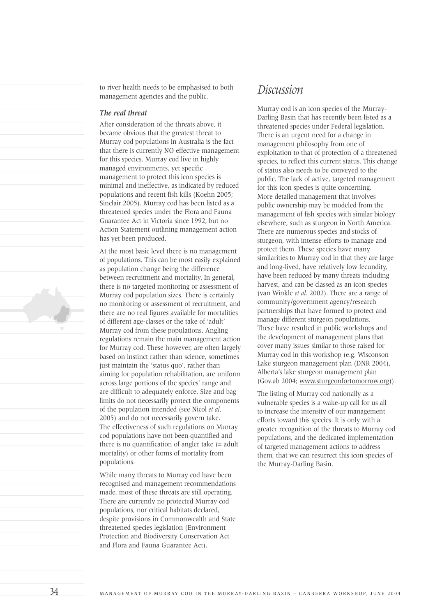to river health needs to be emphasised to both management agencies and the public.

#### *The real threat*

After consideration of the threats above, it became obvious that the greatest threat to Murray cod populations in Australia is the fact that there is currently NO effective management for this species. Murray cod live in highly managed environments, yet specific management to protect this icon species is minimal and ineffective, as indicated by reduced populations and recent fish kills (Koehn 2005; Sinclair 2005). Murray cod has been listed as a threatened species under the Flora and Fauna Guarantee Act in Victoria since 1992, but no Action Statement outlining management action has yet been produced.

At the most basic level there is no management of populations. This can be most easily explained as population change being the difference between recruitment and mortality. In general, there is no targeted monitoring or assessment of Murray cod population sizes. There is certainly no monitoring or assessment of recruitment, and there are no real figures available for mortalities of different age-classes or the take of 'adult' Murray cod from these populations. Angling regulations remain the main management action for Murray cod. These however, are often largely based on instinct rather than science, sometimes just maintain the 'status quo', rather than aiming for population rehabilitation, are uniform across large portions of the species' range and are difficult to adequately enforce. Size and bag limits do not necessarily protect the components of the population intended (see Nicol *et al*. 2005) and do not necessarily govern take. The effectiveness of such regulations on Murray cod populations have not been quantified and there is no quantification of angler take  $(=$  adult mortality) or other forms of mortality from populations.

While many threats to Murray cod have been recognised and management recommendations made, most of these threats are still operating. There are currently no protected Murray cod populations, nor critical habitats declared, despite provisions in Commonwealth and State threatened species legislation (Environment Protection and Biodiversity Conservation Act and Flora and Fauna Guarantee Act).

### *Discussion*

Murray cod is an icon species of the Murray-Darling Basin that has recently been listed as a threatened species under Federal legislation. There is an urgent need for a change in management philosophy from one of exploitation to that of protection of a threatened species, to reflect this current status. This change of status also needs to be conveyed to the public. The lack of active, targeted management for this icon species is quite concerning. More detailed management that involves public ownership may be modeled from the management of fish species with similar biology elsewhere, such as sturgeon in North America. There are numerous species and stocks of sturgeon, with intense efforts to manage and protect them. These species have many similarities to Murray cod in that they are large and long-lived, have relatively low fecundity, have been reduced by many threats including harvest, and can be classed as an icon species (van Winkle *et al*. 2002). There are a range of community/government agency/research partnerships that have formed to protect and manage different sturgeon populations. These have resulted in public workshops and the development of management plans that cover many issues similar to those raised for Murray cod in this workshop (e.g. Wisconson Lake sturgeon management plan (DNR 2004), Alberta's lake sturgeon management plan (Gov.ab 2004; www.sturgeonfortomorrow.org)).

The listing of Murray cod nationally as a vulnerable species is a wake-up call for us all to increase the intensity of our management efforts toward this species. It is only with a greater recognition of the threats to Murray cod populations, and the dedicated implementation of targeted management actions to address them, that we can resurrect this icon species of the Murray-Darling Basin.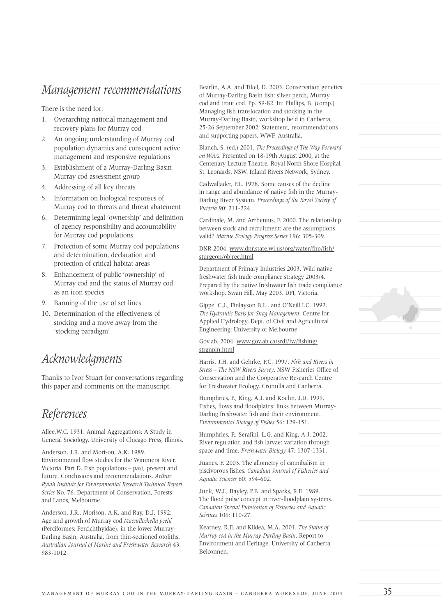## *Management recommendations*

There is the need for:

- 1. Overarching national management and recovery plans for Murray cod
- 2. An ongoing understanding of Murray cod population dynamics and consequent active management and responsive regulations
- 3. Establishment of a Murray-Darling Basin Murray cod assessment group
- 4. Addressing of all key threats
- 5. Information on biological responses of Murray cod to threats and threat abatement
- 6. Determining legal 'ownership' and definition of agency responsibility and accountability for Murray cod populations
- 7. Protection of some Murray cod populations and determination, declaration and protection of critical habitat areas
- 8. Enhancement of public 'ownership' of Murray cod and the status of Murray cod as an icon species
- 9. Banning of the use of set lines
- 10. Determination of the effectiveness of stocking and a move away from the 'stocking paradigm'

## *Acknowledgments*

Thanks to Ivor Stuart for conversations regarding this paper and comments on the manuscript.

# *References*

Allee,W.C. 1931. Animal Aggregations: A Study in General Sociology. University of Chicago Press, Illinois.

Anderson, J.R. and Morison, A.K. 1989. Environmental flow studies for the Wimmera River, Victoria. Part D. Fish populations – past, present and future. Conclusions and recommendations. *Arthur Rylah Institute for Environmental Research Technical Report Series* No. 76. Department of Conservation, Forests and Lands, Melbourne.

Anderson, J.R., Morison, A.K. and Ray, D.J. 1992. Age and growth of Murray cod *Maccullochella peelii* (Perciformes: Percichthyidae), in the lower Murray-Darling Basin, Australia, from thin-sectioned otoliths. *Australian Journal of Marine and Freshwater Research* 43: 983-1012.

Bearlin, A.A. and Tikel, D. 2003. Conservation genetics of Murray-Darling Basin fish: silver perch, Murray cod and trout cod. Pp. 59-82. In: Phillips, B. (comp.) Managing fish translocation and stocking in the Murray-Darling Basin, workshop held in Canberra, 25-26 September 2002: Statement, recommendations and supporting papers. WWF, Australia.

Blanch, S. (ed.) 2001. *The Proceedings of The Way Forward on Weirs.* Presented on 18-19th August 2000, at the Centenary Lecture Theatre, Royal North Shore Hospital, St. Leonards, NSW. Inland Rivers Network, Sydney.

Cadwallader, P.L. 1978. Some causes of the decline in range and abundance of native fish in the Murray-Darling River System. *Proceedings of the Royal Society of Victoria* 90: 211-224.

Cardinale, M. and Arrhenius, F. 2000. The relationship between stock and recruitment: are the assumptions valid? *Marine Ecology Progress Series* 196: 305-309.

#### DNR 2004. www.dnr.state.wi.us/org/water/fhp/fish/ sturgeon/objrec.html

Department of Primary Industries 2003. Wild native freshwater fish trade compliance strategy 2003/4. Prepared by the native freshwater fish trade compliance workshop, Swan Hill, May 2003. DPI, Victoria.

Gippel C.J., Finlayson B.L., and O'Neill I.C. 1992. *The Hydraulic Basis for Snag Management*. Centre for Applied Hydrology, Dept. of Civil and Agricultural Engineering: University of Melbourne.

#### Gov.ab. 2004. www.gov.ab.ca/srdf/fw/fishing/ strønnln.html

Harris, J.H. and Gehrke, P.C. 1997. *Fish and Rivers in Stress – The NSW Rivers Survey*. NSW Fisheries Office of Conservation and the Cooperative Research Centre for Freshwater Ecology, Cronulla and Canberra.

Humphries, P., King, A.J. and Koehn, J.D. 1999. Fishes, flows and floodplains: links between Murray-Darling freshwater fish and their environment. *Environmental Biology of Fishes* 56: 129-151.

Humphries, P., Serafini, L.G. and King, A.J. 2002. River regulation and fish larvae: variation through space and time. *Freshwater Biology* 47: 1307-1331.

Juanes, F. 2003. The allometry of cannibalism in piscivorous fishes. *Canadian Journal of Fisheries and Aquatic Sciences* 60: 594-602.

Junk, W.J., Bayley, P.B. and Sparks, R.E. 1989. The flood pulse concept in river-floodplain systems. *Canadian Special Publication of Fisheries and Aquatic Sciences* 106: 110-27.

Kearney, R.E. and Kildea, M.A. 2001. *The Status of Murray cod in the Murray-Darling Basin*. Report to Environment and Heritage. University of Canberra, Belconnen.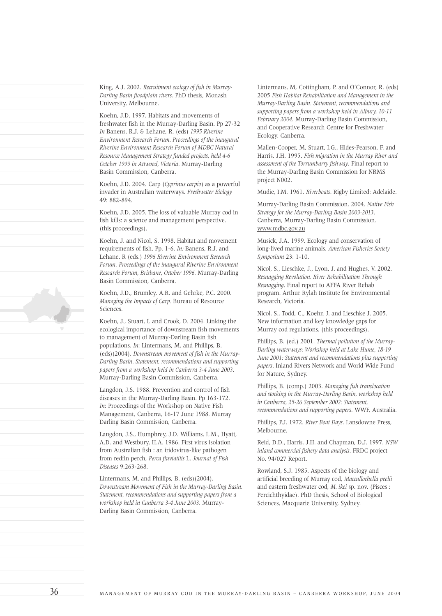King, A.J. 2002. *Recruitment ecology of fish in Murray-Darling Basin floodplain rivers*. PhD thesis, Monash University, Melbourne.

Koehn, J.D. 1997. Habitats and movements of freshwater fish in the Murray-Darling Basin. Pp 27-32 *In* Banens, R.J. & Lehane, R. (eds) *1995 Riverine Environment Research Forum. Proceedings of the inaugural Riverine Environment Research Forum of MDBC Natural Resource Management Strategy funded projects, held 4-6 October 1995 in Attwood, Victoria*. Murray-Darling Basin Commission, Canberra.

Koehn, J.D. 2004. Carp (*Cyprinus carpio*) as a powerful invader in Australian waterways. *Freshwater Biology*  49: 882-894.

Koehn, J.D. 2005. The loss of valuable Murray cod in fish kills: a science and management perspective. (this proceedings).

Koehn, J. and Nicol, S. 1998. Habitat and movement requirements of fish. Pp. 1-6. *In:* Banens, R.J. and Lehane, R (eds.) *1996 Riverine Environment Research Forum*. *Proceedings of the inaugural Riverine Environment Research Forum, Brisbane, October 1996.* Murray-Darling Basin Commission, Canberra.

Koehn, J.D., Brumley, A.R. and Gehrke, P.C. 2000. *Managing the Impacts of Carp.* Bureau of Resource Sciences.

Koehn, J., Stuart, I. and Crook, D. 2004. Linking the ecological importance of downstream fish movements to management of Murray-Darling Basin fish populations. *In*: Lintermans, M. and Phillips, B. (eds)(2004). *Downstream movement of fish in the Murray-Darling Basin. Statement, recommendations and supporting papers from a workshop held in Canberra 3-4 June 2003*. Murray-Darling Basin Commission, Canberra.

Langdon, J.S. 1988. Prevention and control of fish diseases in the Murray-Darling Basin. Pp 163-172. *In*: Proceedings of the Workshop on Native Fish Management, Canberra, 16-17 June 1988. Murray Darling Basin Commission, Canberra.

Langdon, J.S., Humphrey, J.D. Williams, L.M., Hyatt, A.D. and Westbury, H.A. 1986. First virus isolation from Australian fish : an iridovirus-like pathogen from redfin perch, *Perca fluviatilis* L. *Journal of Fish Diseases* 9:263-268.

Lintermans, M. and Phillips, B. (eds)(2004). *Downstream Movement of Fish in the Murray-Darling Basin. Statement, recommendations and supporting papers from a workshop held in Canberra 3-4 June 2003*. Murray-Darling Basin Commission, Canberra.

Lintermans, M, Cottingham, P. and O'Connor, R. (eds) 2005 *Fish Habitat Rehabilitation and Management in the Murray-Darling Basin. Statement, recommendations and supporting papers from a workshop held in Albury, 10-11 February 2004*. Murray-Darling Basin Commission, and Cooperative Research Centre for Freshwater Ecology. Canberra.

Mallen-Cooper, M, Stuart, I.G., Hides-Pearson, F. and Harris, J.H. 1995. *Fish migration in the Murray River and assessment of the Torrumbarry fishway*. Final report to the Murray-Darling Basin Commission for NRMS project N002.

Mudie, I.M. 1961. *Riverboats*. Rigby Limited: Adelaide.

Murray-Darling Basin Commission. 2004. *Native Fish Strategy for the Murray-Darling Basin 2003-2013*. Canberra, Murray-Darling Basin Commission. www.mdbc.gov.au

Musick, J.A. 1999. Ecology and conservation of long-lived marine animals. *American Fisheries Society Symposium* 23: 1-10.

Nicol, S., Lieschke, J., Lyon, J. and Hughes, V. 2002. *Resnagging Revolution. River Rehabilitation Through Resnagging*. Final report to AFFA River Rehab program. Arthur Rylah Institute for Environmental Research, Victoria.

Nicol, S., Todd, C., Koehn J. and Lieschke J. 2005. New information and key knowledge gaps for Murray cod regulations. (this proceedings).

Phillips, B. (ed.) 2001. *Thermal pollution of the Murray-Darling waterways: Workshop held at Lake Hume, 18-19 June 2001: Statement and recommendations plus supporting papers*. Inland Rivers Network and World Wide Fund for Nature, Sydney.

Phillips, B. (comp.) 2003. *Managing fish translocation and stocking in the Murray-Darling Basin, workshop held in Canberra, 25-26 September 2002: Statement, recommendations and supporting papers*. WWF, Australia.

Phillips, P.J. 1972. *River Boat Days*. Lansdowne Press, Melbourne.

Reid, D.D., Harris, J.H. and Chapman, D.J. 1997. *NSW inland commercial fishery data analysis*. FRDC project No. 94/027 Report.

Rowland, S.J. 1985. Aspects of the biology and artificial breeding of Murray cod, *Maccullochella peelii* and eastern freshwater cod, *M. ikei* sp. nov. (Pisces : Percichthyidae). PhD thesis, School of Biological Sciences, Macquarie University, Sydney.